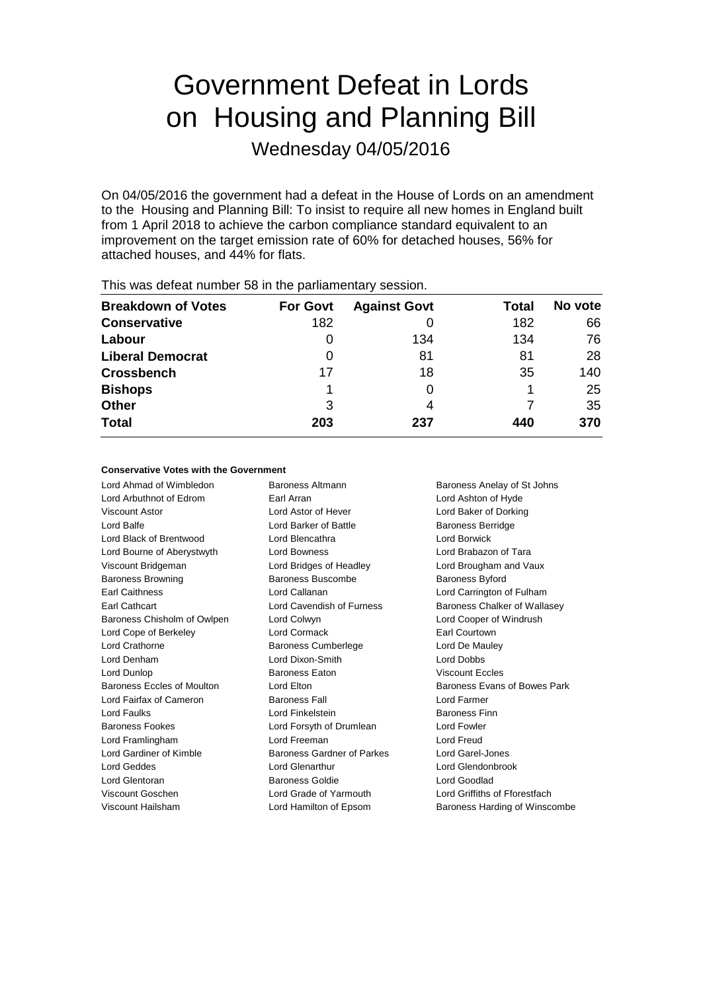# Government Defeat in Lords on Housing and Planning Bill

Wednesday 04/05/2016

On 04/05/2016 the government had a defeat in the House of Lords on an amendment to the Housing and Planning Bill: To insist to require all new homes in England built from 1 April 2018 to achieve the carbon compliance standard equivalent to an improvement on the target emission rate of 60% for detached houses, 56% for attached houses, and 44% for flats.

| <b>Breakdown of Votes</b> | <b>For Govt</b> | <b>Against Govt</b> | Total | No vote |
|---------------------------|-----------------|---------------------|-------|---------|
| <b>Conservative</b>       | 182             |                     | 182   | 66      |
| Labour                    | 0               | 134                 | 134   | 76      |
| <b>Liberal Democrat</b>   | O               | 81                  | 81    | 28      |
| <b>Crossbench</b>         | 17              | 18                  | 35    | 140     |
| <b>Bishops</b>            |                 |                     |       | 25      |
| <b>Other</b>              | 3               | 4                   |       | 35      |
| <b>Total</b>              | 203             | 237                 | 440   | 370     |
|                           |                 |                     |       |         |

This was defeat number 58 in the parliamentary session.

#### **Conservative Votes with the Government**

Lord Ahmad of Wimbledon Baroness Altmann Baroness Anelay of St Johns Lord Arbuthnot of Edrom Earl Arran Lord Ashton of Hyde Viscount Astor Lord Astor of Hever Lord Baker of Dorking Lord Balfe **Lord Barker of Battle** Baroness Berridge Lord Black of Brentwood Lord Blencathra Lord Borwick Lord Bourne of Aberystwyth Lord Bowness Lord Brabazon of Tara Viscount Bridgeman Lord Bridges of Headley Lord Brougham and Vaux Baroness Browning Baroness Buscombe Baroness Byford Earl Caithness Lord Callanan Lord Carrington of Fulham Earl Cathcart **Lord Cavendish of Furness** Baroness Chalker of Wallasey Baroness Chisholm of Owlpen Lord Colwyn Lord Cooper of Windrush Lord Cope of Berkeley **Lord Cormack** Earl Courtown Lord Crathorne **Baroness Cumberlege** Lord De Mauley Lord Denham Lord Dixon-Smith Lord Dobbs Lord Dunlop Baroness Eaton Viscount Eccles Baroness Eccles of Moulton Lord Elton **Lorges Lorges** Baroness Evans of Bowes Park Lord Fairfax of Cameron Baroness Fall Lord Farmer Lord Faulks Lord Finkelstein Baroness Finn Baroness Fookes Lord Forsyth of Drumlean Lord Fowler Lord Framlingham Lord Freeman Lord Freud Lord Gardiner of Kimble **Baroness Gardner of Parkes** Lord Garel-Jones Lord Geddes Lord Glenarthur Lord Glendonbrook Lord Glentoran Baroness Goldie Lord Goodlad Viscount Goschen Lord Grade of Yarmouth Lord Griffiths of Fforestfach

Viscount Hailsham **Lord Hamilton of Epsom** Baroness Harding of Winscombe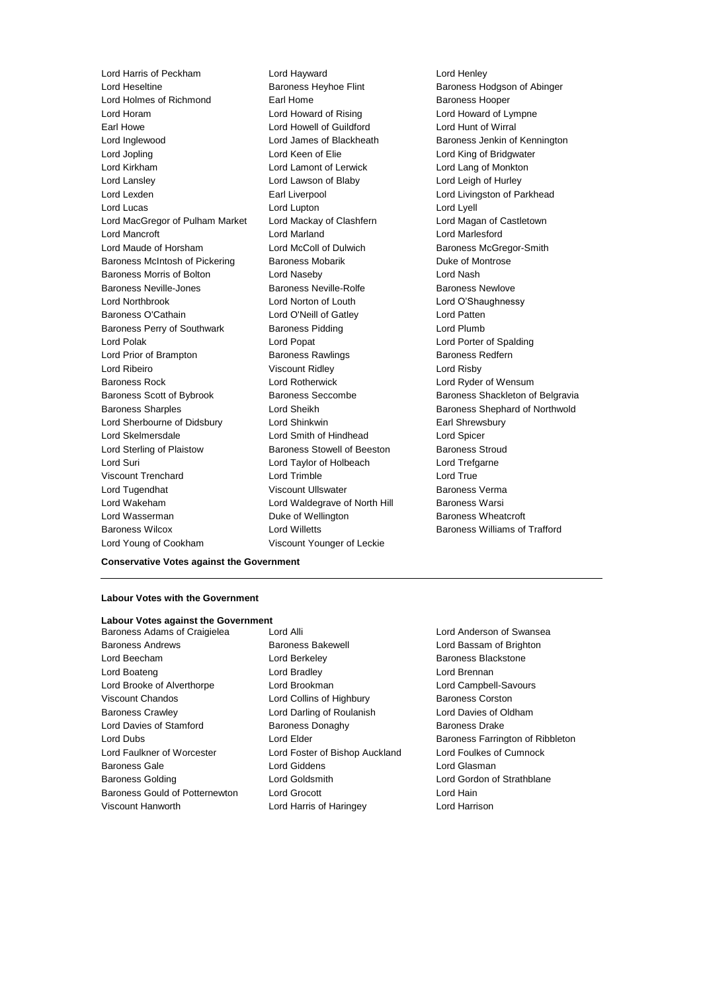Lord Harris of Peckham Lord Hayward Lord Henley Lord Heseltine Baroness Heyhoe Flint Baroness Hodgson of Abinger Lord Holmes of Richmond **Earl Home** Earl Home Baroness Hooper Lord Horam **Lord Howard of Rising Lord Howard Cord Howard of Rising Lord Howard of Lympne** Earl Howe **Lord Howell of Guildford Lord Hunt of Wirral** Lord Inglewood Lord James of Blackheath Baroness Jenkin of Kennington Lord Jopling **Lord Keen of Elie** Lord Keen Constanting of Bridgwater Lord Kirkham Lord Lamont of Lerwick Lord Lang of Monkton Lord Lansley Lord Lawson of Blaby Lord Leigh of Hurley Lord Lexden **Earl Liverpool** Earl Liverpool **Lord Livingston of Parkhead** Lord Lucas Lord Lupton Lord Lyell Lord MacGregor of Pulham Market Lord Mackay of Clashfern Lord Magan of Castletown Lord Mancroft Lord Marland Lord Marlesford Lord Maude of Horsham Lord McColl of Dulwich Baroness McGregor-Smith Baroness McIntosh of Pickering Baroness Mobarik Baroness Montrose Baroness Morris of Bolton Lord Naseby Lord Nash Baroness Neville-Jones **Baroness Neville-Rolfe** Baroness Newlove Lord Northbrook Lord Norton of Louth Lord O'Shaughnessy Baroness O'Cathain Lord O'Neill of Gatley Lord Patten Baroness Perry of Southwark Baroness Pidding Baroness Pidding Lord Plumb Lord Polak Lord Popat Lord Porter of Spalding Lord Prior of Brampton **Baroness Rawlings** Baroness Redfern Lord Ribeiro Viscount Ridley Lord Risby Baroness Rock Lord Rotherwick Lord Ryder of Wensum Baroness Scott of Bybrook Baroness Seccombe Baroness Shackleton of Belgravia Baroness Sharples Lord Sheikh Baroness Shephard of Northwold Lord Sherbourne of Didsbury Lord Shinkwin Earl Shrewsbury Lord Skelmersdale Lord Smith of Hindhead Lord Spicer Lord Sterling of Plaistow Baroness Stowell of Beeston Baroness Stroud Lord Suri Lord Taylor of Holbeach Lord Trefgarne Viscount Trenchard Lord Trimble Lord True Lord Tugendhat **Viscount Ullswater Baroness Verma** Viscount Ullswater **Baroness Verma** Lord Wakeham **Lord Waldegrave of North Hill** Baroness Warsi Lord Wasserman Duke of Wellington Baroness Wheatcroft Baroness Wilcox Lord Willetts Baroness Williams of Trafford

Lord Young of Cookham Viscount Younger of Leckie

#### **Conservative Votes against the Government**

#### **Labour Votes with the Government**

### **Labour Votes against the Government**

Baroness Andrews **Baroness Bakewell Baroness Bakewell Lord Bassam of Brighton** Lord Beecham **Lord Berkeley Baroness Blackstone** Lord Boateng Lord Bradley Lord Brennan Lord Brooke of Alverthorpe Lord Brookman Lord Campbell-Savours Viscount Chandos **Lord Collins of Highbury** Baroness Corston Baroness Crawley Lord Darling of Roulanish Lord Davies of Oldham Lord Davies of Stamford **Baroness Donaghy** Baroness Drake Lord Faulkner of Worcester Lord Foster of Bishop Auckland Lord Foulkes of Cumnock Baroness Gale Lord Giddens Lord Glasman Baroness Golding Lord Goldsmith Lord Gordon of Strathblane Baroness Gould of Potternewton Lord Grocott Lord Hain

Baroness Adams of Craigielea Lord Alli Lord Anderson of Swansea Viscount Hanworth Lord Harris of Haringey Lord Harrison

Lord Dubs Lord Elder Baroness Farrington of Ribbleton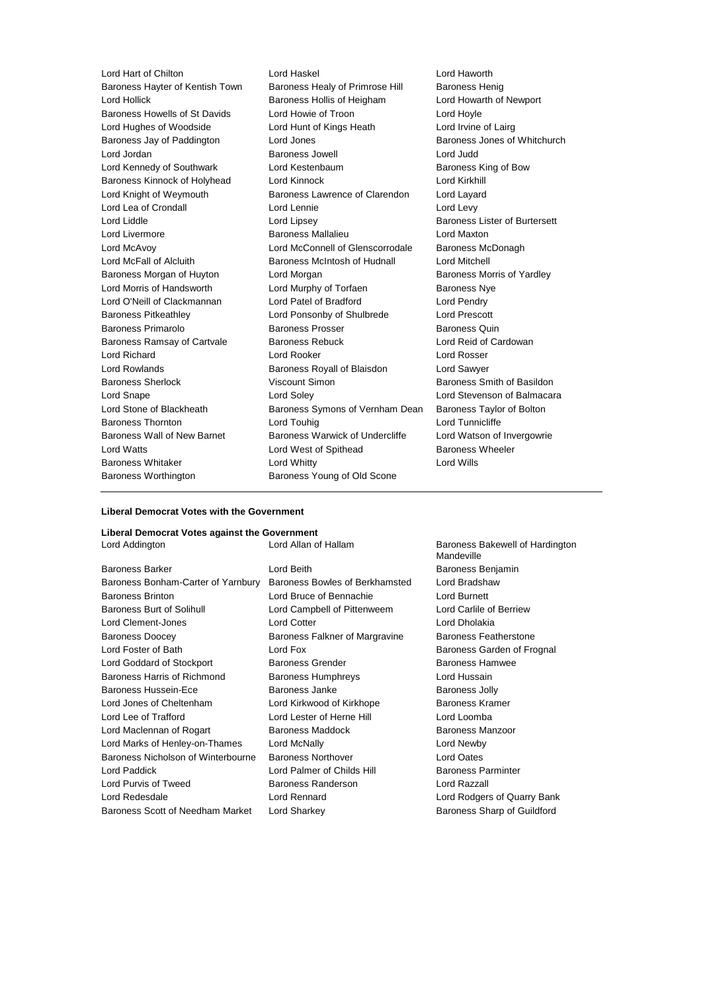Baroness Hayter of Kentish Town Lord Hollick Baroness Hollis of Heigham Lord Howarth of Newport Baroness Howells of St Davids Lord Howie of Troon Lord Hoyle Lord Hughes of Woodside Lord Hunt of Kings Heath Lord Irvine of Lairg Baroness Jay of Paddington Lord Jones **Baroness Jones of Whitchurch** Baroness Jones of Whitchurch Lord Jordan **Baroness Jowell** Lord Judd<br>
Lord Kennedy of Southwark Lord Kestenbaum<br>
Lord Kennedy of Southwark Lord Kestenbaum<br>
Lord Meterinaum Lord Kennedy of Southwark Lord Kestenbaum Baroness Kinnock of Holyhead Lord Kinnock Lord Kirkhill Lord Knight of Weymouth Baroness Lawrence of Clarendon Lord Layard Lord Lea of Crondall **Lord Lennie** Lord Levy Lord Liddle Lord Lipsey Baroness Lister of Burtersett Lord Livermore Baroness Mallalieu Lord Maxton Lord McAvoy Lord McConnell of Glenscorrodale Baroness McDonagh Lord McFall of Alcluith Baroness McIntosh of Hudnall Lord Mitchell Baroness Morgan of Huyton **Lord Morgan Communist Communist Communist** Baroness Morris of Yardley Lord Morris of Handsworth **Lord Murphy of Torfaen** Baroness Nye Lord O'Neill of Clackmannan Lord Patel of Bradford Lord Pendry Baroness Pitkeathley Lord Ponsonby of Shulbrede Lord Prescott Baroness Primarolo **Baroness Prosser** Baroness Desama Baroness Quin Baroness Ramsay of Cartvale Baroness Rebuck Lord Reid of Cardowan Lord Richard Lord Rooker Lord Rosser Lord Rowlands Baroness Royall of Blaisdon Lord Sawyer Baroness Sherlock Viscount Simon Baroness Smith of Basildon Lord Snape Lord Soley Lord Stevenson of Balmacara Lord Stone of Blackheath Baroness Symons of Vernham Dean Baroness Taylor of Bolton Baroness Thornton Lord Touhig Lord Tunnicliffe Baroness Wall of New Barnet Baroness Warwick of Undercliffe Lord Watson of Invergowrie Lord Watts **Lord West of Spithead** Baroness Wheeler Baroness Whitaker **Lord Whitty** Lord Whitty **Lord Wills** Baroness Worthington Baroness Young of Old Scone

Lord Hart of Chilton **Lord Haskel** Lord Haskel **Lord Haworth**<br>Baroness Havter of Kentish Town Baroness Healy of Primrose Hill Baroness Henig

#### **Liberal Democrat Votes with the Government**

| Liberal Democrat Votes against the Government |                                |                                               |  |  |
|-----------------------------------------------|--------------------------------|-----------------------------------------------|--|--|
| Lord Addington                                | Lord Allan of Hallam           | Baroness Bakewell of Hardington<br>Mandeville |  |  |
| <b>Baroness Barker</b>                        | Lord Beith                     | Baroness Benjamin                             |  |  |
| Baroness Bonham-Carter of Yarnbury            | Baroness Bowles of Berkhamsted | Lord Bradshaw                                 |  |  |
| <b>Baroness Brinton</b>                       | Lord Bruce of Bennachie        | Lord Burnett                                  |  |  |
| Baroness Burt of Solihull                     | Lord Campbell of Pittenweem    | Lord Carlile of Berriew                       |  |  |
| Lord Clement-Jones                            | <b>Lord Cotter</b>             | Lord Dholakia                                 |  |  |
| <b>Baroness Doocey</b>                        | Baroness Falkner of Margravine | Baroness Featherstone                         |  |  |
| Lord Foster of Bath                           | Lord Fox                       | Baroness Garden of Frognal                    |  |  |
| Lord Goddard of Stockport                     | Baroness Grender               | <b>Baroness Hamwee</b>                        |  |  |
| Baroness Harris of Richmond                   | <b>Baroness Humphreys</b>      | Lord Hussain                                  |  |  |
| Baroness Hussein-Ece                          | Baroness Janke                 | <b>Baroness Jolly</b>                         |  |  |
| Lord Jones of Cheltenham                      | Lord Kirkwood of Kirkhope      | Baroness Kramer                               |  |  |
| Lord Lee of Trafford                          | Lord Lester of Herne Hill      | Lord Loomba                                   |  |  |
| Lord Maclennan of Rogart                      | <b>Baroness Maddock</b>        | Baroness Manzoor                              |  |  |
| Lord Marks of Henley-on-Thames                | Lord McNally                   | Lord Newby                                    |  |  |
| Baroness Nicholson of Winterbourne            | <b>Baroness Northover</b>      | Lord Oates                                    |  |  |
| Lord Paddick                                  | Lord Palmer of Childs Hill     | <b>Baroness Parminter</b>                     |  |  |
| Lord Purvis of Tweed                          | Baroness Randerson             | Lord Razzall                                  |  |  |
| Lord Redesdale                                | Lord Rennard                   | Lord Rodgers of Quarry Bank                   |  |  |
| Baroness Scott of Needham Market              | Lord Sharkey                   | Baroness Sharp of Guildford                   |  |  |